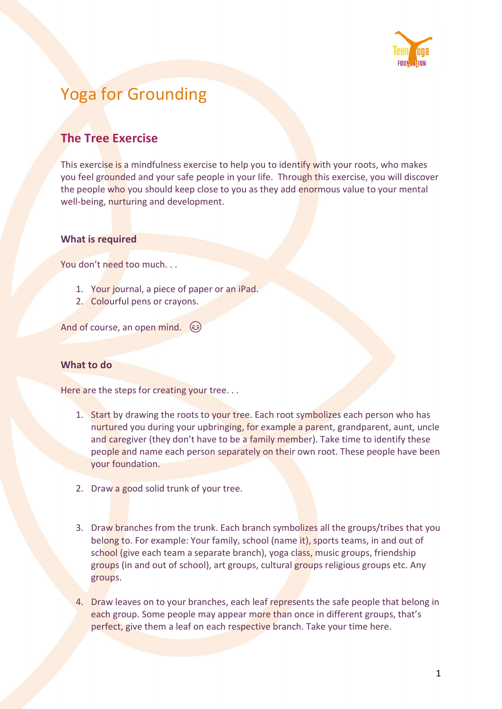

# Yoga for Grounding

## The Tree Exercise

This exercise is a mindfulness exercise to help you to identify with your roots, who makes you feel grounded and your safe people in your life. Through this exercise, you will discover the people who you should keep close to you as they add enormous value to your mental well-being, nurturing and development.

### What is required

You don't need too much. . .

- 1. Your journal, a piece of paper or an iPad.
- 2. Colourful pens or crayons.

And of course, an open mind.

#### What to do

Here are the steps for creating your tree...

- 1. Start by drawing the roots to your tree. Each root symbolizes each person who has nurtured you during your upbringing, for example a parent, grandparent, aunt, uncle and caregiver (they don't have to be a family member). Take time to identify these people and name each person separately on their own root. These people have been your foundation.
- 2. Draw a good solid trunk of your tree.
- 3. Draw branches from the trunk. Each branch symbolizes all the groups/tribes that you belong to. For example: Your family, school (name it), sports teams, in and out of school (give each team a separate branch), yoga class, music groups, friendship groups (in and out of school), art groups, cultural groups religious groups etc. Any groups.
- 4. Draw leaves on to your branches, each leaf represents the safe people that belong in each group. Some people may appear more than once in different groups, that's perfect, give them a leaf on each respective branch. Take your time here.